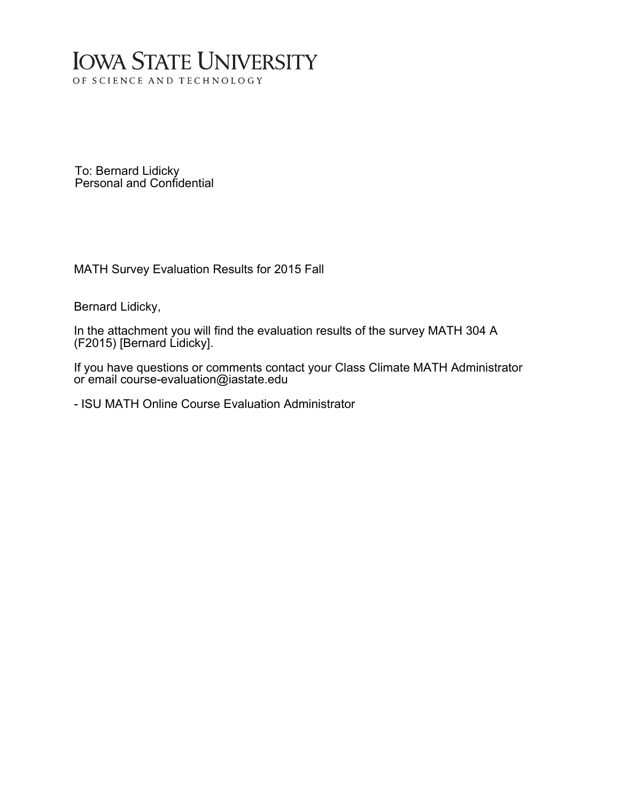# **IOWA STATE UNIVERSITY** OF SCIENCE AND TECHNOLOGY

To: Bernard Lidicky Personal and Confidential

MATH Survey Evaluation Results for 2015 Fall

Bernard Lidicky,

In the attachment you will find the evaluation results of the survey MATH 304 A (F2015) [Bernard Lidicky].

If you have questions or comments contact your Class Climate MATH Administrator or email course-evaluation@iastate.edu

- ISU MATH Online Course Evaluation Administrator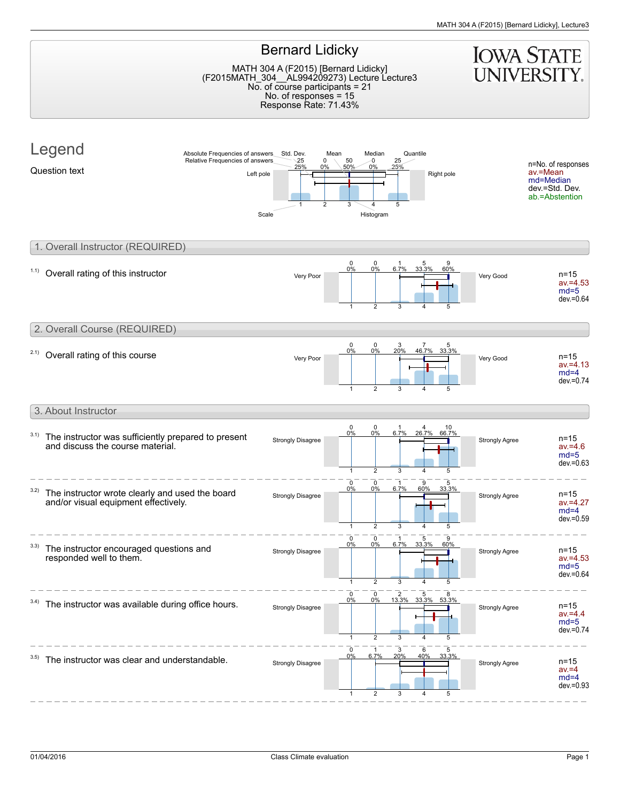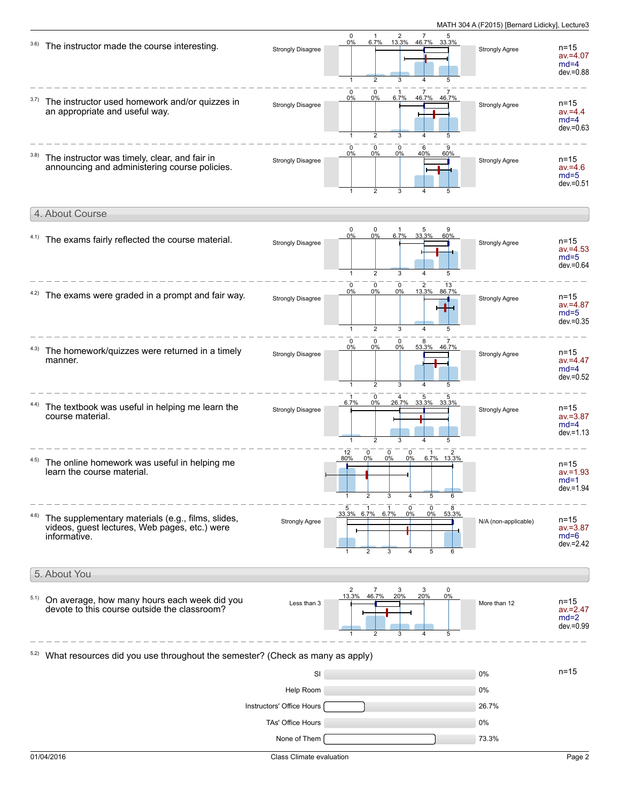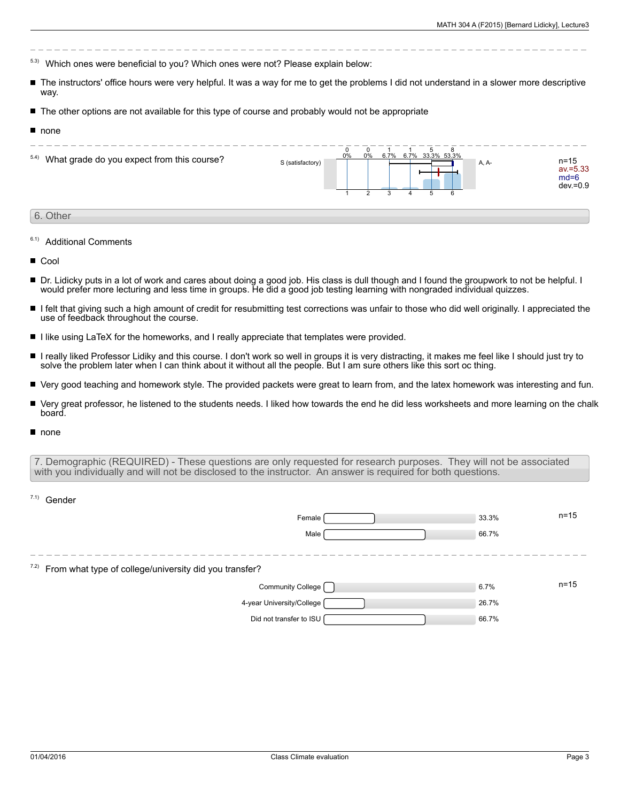- 5.3) Which ones were beneficial to you? Which ones were not? Please explain below:
- The instructors' office hours were very helpful. It was a way for me to get the problems I did not understand in a slower more descriptive way.
- The other options are not available for this type of course and probably would not be appropriate
- none

| 5.4) What grade do you expect from this course? | S (satisfactory) | 0% | 0% | 6.7% |  | 6.7% 33.3% 53.3% | A, A- |  | n=15<br>av.=5.33<br>$md=6$<br>$dev = 0.9$ |
|-------------------------------------------------|------------------|----|----|------|--|------------------|-------|--|-------------------------------------------|
|                                                 |                  |    |    |      |  |                  |       |  |                                           |

## 6. Other

- 6.1) Additional Comments
- Cool
- Dr. Lidicky puts in a lot of work and cares about doing a good job. His class is dull though and I found the groupwork to not be helpful. I would prefer more lecturing and less time in groups. He did a good job testing learning with nongraded individual quizzes.
- $\blacksquare$ I felt that giving such a high amount of credit for resubmitting test corrections was unfair to those who did well originally. I appreciated the use of feedback throughout the course.
- I like using LaTeX for the homeworks, and I really appreciate that templates were provided.
- I really liked Professor Lidiky and this course. I don't work so well in groups it is very distracting, it makes me feel like I should just try to solve the problem later when I can think about it without all the people. But I am sure others like this sort oc thing.
- $\blacksquare$ Very good teaching and homework style. The provided packets were great to learn from, and the latex homework was interesting and fun.
- Very great professor, he listened to the students needs. I liked how towards the end he did less worksheets and more learning on the chalk board.
- none

 $7.1)$  Condor

7. Demographic (REQUIRED) - These questions are only requested for research purposes. They will not be associated with you individually and will not be disclosed to the instructor. An answer is required for both questions.

| uuu                                                           |       |          |
|---------------------------------------------------------------|-------|----------|
| Female                                                        | 33.3% | $n = 15$ |
| Male                                                          | 66.7% |          |
|                                                               |       |          |
| $7.2)$ From what type of college/university did you transfer? |       |          |
| Community College                                             | 6.7%  | $n = 15$ |
| 4-year University/College                                     | 26.7% |          |
| Did not transfer to ISU                                       | 66.7% |          |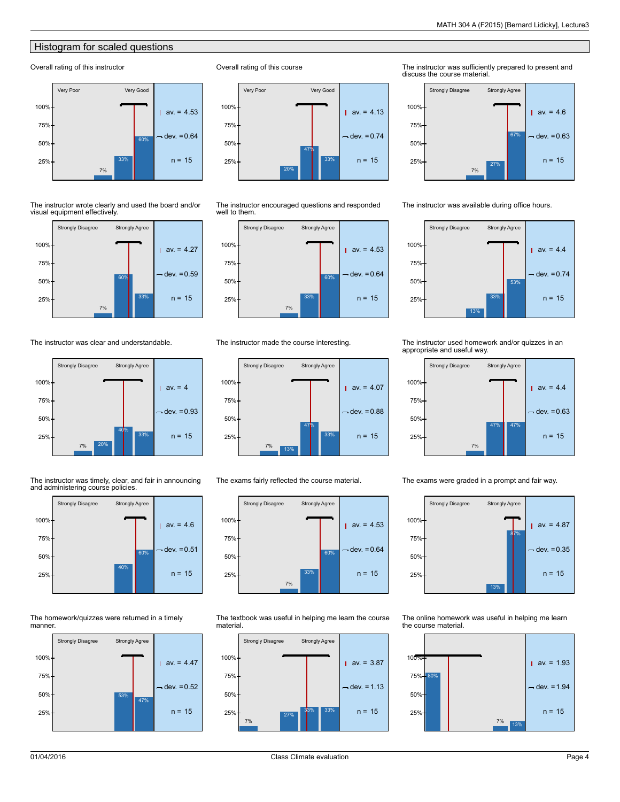## **Histogram for scaled questions**

#### Overall rating of this instructor



The instructor wrote clearly and used the board and/or visual equipment effectively.



The instructor was clear and understandable.



The instructor was timely, clear, and fair in announcing and administering course policies.



The homework/quizzes were returned in a timely manner.



Overall rating of this course



The instructor encouraged questions and responded well to them.



#### The instructor made the course interesting.



The exams fairly reflected the course material.



The textbook was useful in helping me learn the course material.



The instructor was sufficiently prepared to present and discuss the course material.



The instructor was available during office hours.



The instructor used homework and/or quizzes in an appropriate and useful way.



The exams were graded in a prompt and fair way.



The online homework was useful in helping me learn the course material.

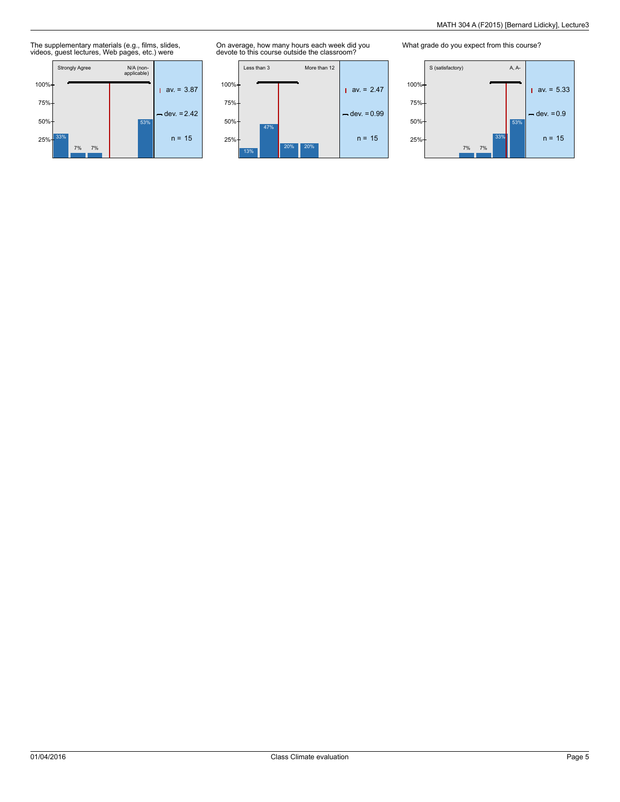The supplementary materials (e.g., films, slides, videos, guest lectures, Web pages, etc.) were



On average, how many hours each week did you devote to this course outside the classroom?



What grade do you expect from this course?

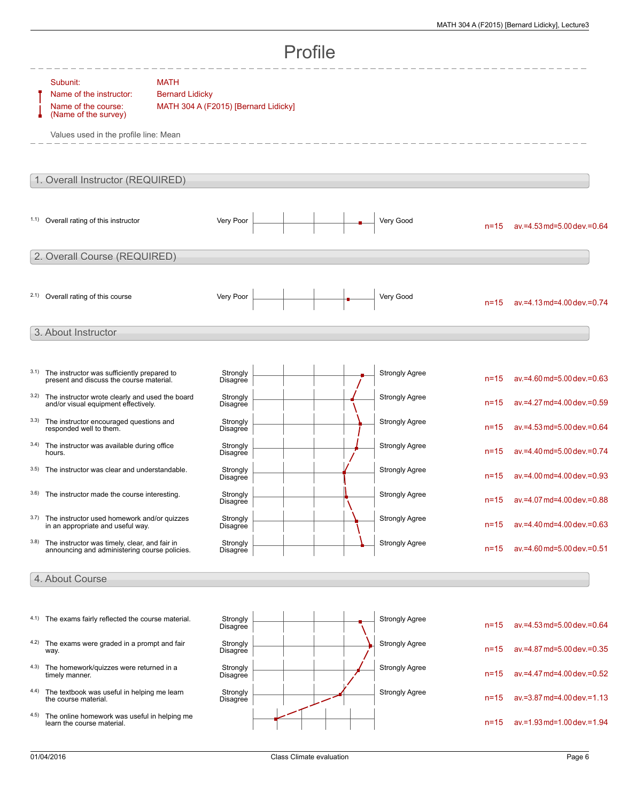| Profile         |                                                                                                                             |                                                                               |                      |  |  |  |                       |          |                                     |  |
|-----------------|-----------------------------------------------------------------------------------------------------------------------------|-------------------------------------------------------------------------------|----------------------|--|--|--|-----------------------|----------|-------------------------------------|--|
|                 | Subunit:<br>Name of the instructor:<br>Name of the course:<br>(Name of the survey)<br>Values used in the profile line: Mean | <b>MATH</b><br><b>Bernard Lidicky</b><br>MATH 304 A (F2015) [Bernard Lidicky] |                      |  |  |  |                       |          |                                     |  |
|                 | 1. Overall Instructor (REQUIRED)                                                                                            |                                                                               |                      |  |  |  |                       |          |                                     |  |
|                 | 1.1) Overall rating of this instructor                                                                                      |                                                                               | Very Poor            |  |  |  | Very Good             | $n = 15$ | av.=4.53 md=5.00 dev.=0.64          |  |
|                 | 2. Overall Course (REQUIRED)                                                                                                |                                                                               |                      |  |  |  |                       |          |                                     |  |
|                 | 2.1) Overall rating of this course                                                                                          |                                                                               | Very Poor            |  |  |  | Very Good             | $n = 15$ | $av = 4.13$ md=4.00 dev. = 0.74     |  |
|                 | 3. About Instructor                                                                                                         |                                                                               |                      |  |  |  |                       |          |                                     |  |
| 3.1)            | The instructor was sufficiently prepared to<br>present and discuss the course material.                                     |                                                                               | Strongly<br>Disagree |  |  |  | <b>Strongly Agree</b> | $n = 15$ | av.=4.60 md=5.00 dev.=0.63          |  |
| 3.2)            | The instructor wrote clearly and used the board<br>and/or visual equipment effectively.                                     |                                                                               | Strongly<br>Disagree |  |  |  | <b>Strongly Agree</b> | $n = 15$ | av.=4.27 md=4.00 dev.=0.59          |  |
| 3.3)            | The instructor encouraged questions and<br>responded well to them.                                                          |                                                                               | Strongly<br>Disagree |  |  |  | <b>Strongly Agree</b> | $n = 15$ | av.=4.53 md=5.00 dev.=0.64          |  |
| 3.4)            | The instructor was available during office<br>hours.                                                                        |                                                                               | Strongly<br>Disagree |  |  |  | <b>Strongly Agree</b> | $n = 15$ | av.=4.40 md=5.00 dev.=0.74          |  |
| 3.5)            | The instructor was clear and understandable.                                                                                |                                                                               | Strongly<br>Disagree |  |  |  | <b>Strongly Agree</b> | $n = 15$ | $av = 4.00$ md=4.00 dev.=0.93       |  |
|                 | 3.6) The instructor made the course interesting.                                                                            |                                                                               | Strongly<br>Disagree |  |  |  | <b>Strongly Agree</b> | $n = 15$ | av.=4.07 md=4.00 dev.=0.88          |  |
| 3.7)            | The instructor used homework and/or quizzes<br>in an appropriate and useful way.                                            |                                                                               | Strongly<br>Disagree |  |  |  | <b>Strongly Agree</b> | $n=15$   | av.=4.40 md=4.00 dev.=0.63          |  |
| 3.8)            | The instructor was timely, clear, and fair in<br>announcing and administering course policies.                              |                                                                               | Strongly<br>Disagree |  |  |  | <b>Strongly Agree</b> | $n = 15$ | av.=4.60 md=5.00 dev.=0.51          |  |
| 4. About Course |                                                                                                                             |                                                                               |                      |  |  |  |                       |          |                                     |  |
|                 |                                                                                                                             |                                                                               |                      |  |  |  |                       |          |                                     |  |
|                 | 4.1) The exams fairly reflected the course material.                                                                        |                                                                               | Strongly<br>Disagree |  |  |  | <b>Strongly Agree</b> | $n = 15$ | $av = 4.53$ md= $5.00$ dev = $0.64$ |  |
| 4.2)            | The exams were graded in a prompt and fair<br>way.                                                                          |                                                                               | Strongly<br>Disagree |  |  |  | <b>Strongly Agree</b> | $n = 15$ | av.=4.87 md=5.00 dev.=0.35          |  |
| 4.3)            | The homework/quizzes were returned in a<br>timely manner.                                                                   |                                                                               | Strongly<br>Disagree |  |  |  | <b>Strongly Agree</b> | $n = 15$ | av.=4.47 md=4.00 dev.=0.52          |  |
| 4.4)            | The textbook was useful in helping me learn<br>the course material.                                                         |                                                                               | Strongly<br>Disagree |  |  |  | <b>Strongly Agree</b> | $n = 15$ | av.=3.87 md=4.00 dev.=1.13          |  |
| 4.5)            | The online homework was useful in helping me<br>learn the course material.                                                  |                                                                               |                      |  |  |  |                       | $n = 15$ | $av = 1.93$ md=1.00 dev. = 1.94     |  |